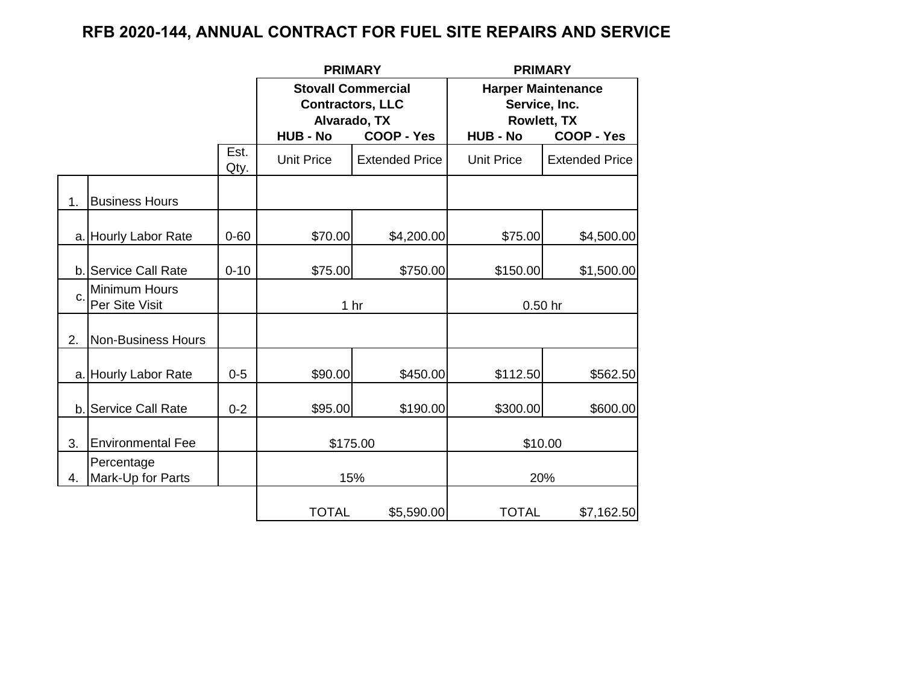## **RFB 2020-144, ANNUAL CONTRACT FOR FUEL SITE REPAIRS AND SERVICE**

|              |                                 |              | <b>PRIMARY</b>    |                                                                                           | <b>PRIMARY</b>                                                                                           |                       |  |
|--------------|---------------------------------|--------------|-------------------|-------------------------------------------------------------------------------------------|----------------------------------------------------------------------------------------------------------|-----------------------|--|
|              |                                 |              | <b>HUB - No</b>   | <b>Stovall Commercial</b><br><b>Contractors, LLC</b><br>Alvarado, TX<br><b>COOP - Yes</b> | <b>Harper Maintenance</b><br>Service, Inc.<br><b>Rowlett, TX</b><br><b>COOP - Yes</b><br><b>HUB - No</b> |                       |  |
|              |                                 | Est.<br>Qty. | <b>Unit Price</b> | <b>Extended Price</b>                                                                     | <b>Unit Price</b>                                                                                        | <b>Extended Price</b> |  |
| 1.           | <b>Business Hours</b>           |              |                   |                                                                                           |                                                                                                          |                       |  |
|              | a. Hourly Labor Rate            | $0 - 60$     | \$70.00           | \$4,200.00                                                                                | \$75.00                                                                                                  | \$4,500.00            |  |
|              | b. Service Call Rate            | $0 - 10$     | \$75.00           | \$750.00                                                                                  | \$150.00                                                                                                 | \$1,500.00            |  |
| $\mathbf{C}$ | Minimum Hours<br>Per Site Visit |              |                   | 1 <sub>hr</sub>                                                                           | 0.50 hr                                                                                                  |                       |  |
| 2.           | Non-Business Hours              |              |                   |                                                                                           |                                                                                                          |                       |  |
|              | a. Hourly Labor Rate            | $0 - 5$      | \$90.00           | \$450.00                                                                                  | \$112.50                                                                                                 | \$562.50              |  |
| b.           | Service Call Rate               | $0 - 2$      | \$95.00           | \$190.00                                                                                  | \$300.00                                                                                                 | \$600.00              |  |
| 3.           | <b>Environmental Fee</b>        |              | \$175.00          |                                                                                           | \$10.00                                                                                                  |                       |  |
| 4.           | Percentage<br>Mark-Up for Parts |              | 15%               |                                                                                           | 20%                                                                                                      |                       |  |
|              |                                 |              | <b>TOTAL</b>      | \$5,590.00                                                                                | <b>TOTAL</b>                                                                                             | \$7,162.50            |  |